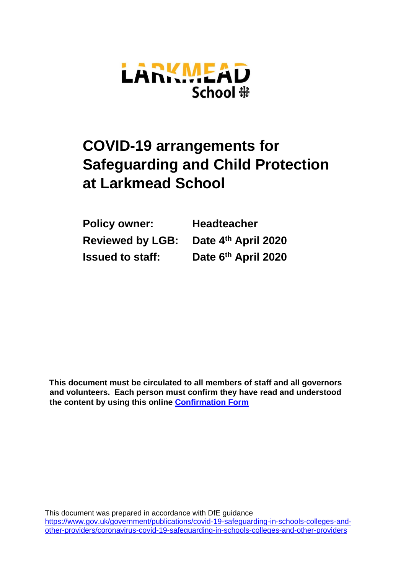

# **COVID-19 arrangements for Safeguarding and Child Protection at Larkmead School**

| <b>Policy owner:</b>    | <b>Headteacher</b>  |
|-------------------------|---------------------|
| <b>Reviewed by LGB:</b> | Date 4th April 2020 |
| <b>Issued to staff:</b> | Date 6th April 2020 |

**This document must be circulated to all members of staff and all governors and volunteers. Each person must confirm they have read and understood the content by using this online [Confirmation Form](https://docs.google.com/forms/d/e/1FAIpQLScQTPLpSAAci7kv2fT23R3cGRr3hpbPzZydYEzClRRKNINd5g/viewform)**

This document was prepared in accordance with DfE guidance [https://www.gov.uk/government/publications/covid-19-safeguarding-in-schools-colleges-and](https://www.gov.uk/government/publications/covid-19-safeguarding-in-schools-colleges-and-other-providers/coronavirus-covid-19-safeguarding-in-schools-colleges-and-other-providers)[other-providers/coronavirus-covid-19-safeguarding-in-schools-colleges-and-other-providers](https://www.gov.uk/government/publications/covid-19-safeguarding-in-schools-colleges-and-other-providers/coronavirus-covid-19-safeguarding-in-schools-colleges-and-other-providers)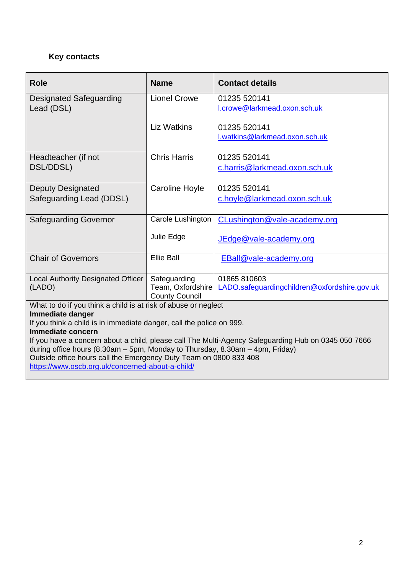# **Key contacts**

| <b>Role</b>                                                                                         | <b>Name</b>                       | <b>Contact details</b>                       |  |
|-----------------------------------------------------------------------------------------------------|-----------------------------------|----------------------------------------------|--|
| <b>Designated Safeguarding</b>                                                                      | <b>Lionel Crowe</b>               | 01235 520141                                 |  |
| Lead (DSL)                                                                                          |                                   | I.crowe@larkmead.oxon.sch.uk                 |  |
|                                                                                                     | <b>Liz Watkins</b>                | 01235 520141                                 |  |
|                                                                                                     |                                   | I.watkins@larkmead.oxon.sch.uk               |  |
|                                                                                                     |                                   |                                              |  |
| Headteacher (if not                                                                                 | <b>Chris Harris</b>               | 01235 520141                                 |  |
| DSL/DDSL)                                                                                           |                                   | c.harris@larkmead.oxon.sch.uk                |  |
| <b>Deputy Designated</b>                                                                            | Caroline Hoyle                    | 01235 520141                                 |  |
| Safeguarding Lead (DDSL)                                                                            |                                   | c.hoyle@larkmead.oxon.sch.uk                 |  |
|                                                                                                     |                                   |                                              |  |
| <b>Safeguarding Governor</b>                                                                        | Carole Lushington                 | CLushington@vale-academy.org                 |  |
|                                                                                                     | Julie Edge                        | JEdge@vale-academy.org                       |  |
|                                                                                                     |                                   |                                              |  |
| <b>Chair of Governors</b>                                                                           | <b>Ellie Ball</b>                 | EBall@vale-academy.org                       |  |
|                                                                                                     |                                   |                                              |  |
| Local Authority Designated Officer                                                                  | Safeguarding<br>Team, Oxfordshire | 01865 810603                                 |  |
| (LADO)                                                                                              | <b>County Council</b>             | LADO.safequardingchildren@oxfordshire.gov.uk |  |
| What to do if you think a child is at risk of abuse or neglect                                      |                                   |                                              |  |
| Immediate danger                                                                                    |                                   |                                              |  |
| If you think a child is in immediate danger, call the police on 999.<br><b>Immediate concern</b>    |                                   |                                              |  |
| If you have a concern about a child, please call The Multi-Agency Safeguarding Hub on 0345 050 7666 |                                   |                                              |  |
| during office hours (8.30am – 5pm, Monday to Thursday, 8.30am – 4pm, Friday)                        |                                   |                                              |  |
| Outside office hours call the Emergency Duty Team on 0800 833 408                                   |                                   |                                              |  |

<https://www.oscb.org.uk/concerned-about-a-child/>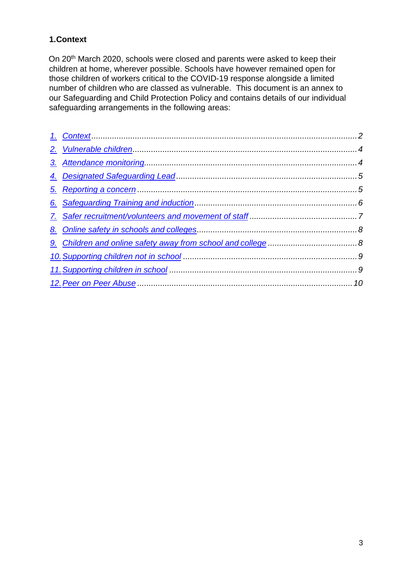## <span id="page-2-0"></span>**1.Context**

On 20<sup>th</sup> March 2020, schools were closed and parents were asked to keep their children at home, wherever possible. Schools have however remained open for those children of workers critical to the COVID-19 response alongside a limited number of children who are classed as vulnerable. This document is an annex to our Safeguarding and Child Protection Policy and contains details of our individual safeguarding arrangements in the following areas: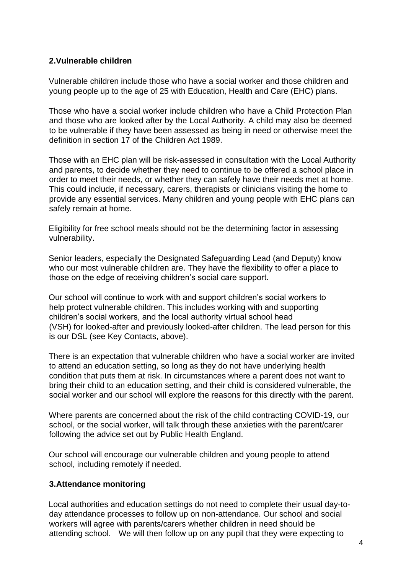#### <span id="page-3-0"></span>**2.Vulnerable children**

Vulnerable children include those who have a social worker and those children and young people up to the age of 25 with Education, Health and Care (EHC) plans.

Those who have a social worker include children who have a Child Protection Plan and those who are looked after by the Local Authority. A child may also be deemed to be vulnerable if they have been assessed as being in need or otherwise meet the definition in section 17 of the Children Act 1989.

Those with an EHC plan will be risk-assessed in consultation with the Local Authority and parents, to decide whether they need to continue to be offered a school place in order to meet their needs, or whether they can safely have their needs met at home. This could include, if necessary, carers, therapists or clinicians visiting the home to provide any essential services. Many children and young people with EHC plans can safely remain at home.

Eligibility for free school meals should not be the determining factor in assessing vulnerability.

Senior leaders, especially the Designated Safeguarding Lead (and Deputy) know who our most vulnerable children are. They have the flexibility to offer a place to those on the edge of receiving children's social care support.

Our school will continue to work with and support children's social workers to help protect vulnerable children. This includes working with and supporting children's social workers, and the local authority virtual school head (VSH) for looked-after and previously looked-after children. The lead person for this is our DSL (see Key Contacts, above).

There is an expectation that vulnerable children who have a social worker are invited to attend an education setting, so long as they do not have underlying health condition that puts them at risk. In circumstances where a parent does not want to bring their child to an education setting, and their child is considered vulnerable, the social worker and our school will explore the reasons for this directly with the parent.

Where parents are concerned about the risk of the child contracting COVID-19, our school, or the social worker, will talk through these anxieties with the parent/carer following the advice set out by Public Health England.

Our school will encourage our vulnerable children and young people to attend school, including remotely if needed.

## <span id="page-3-1"></span>**3.Attendance monitoring**

Local authorities and education settings do not need to complete their usual day-today attendance processes to follow up on non-attendance. Our school and social workers will agree with parents/carers whether children in need should be attending school. We will then follow up on any pupil that they were expecting to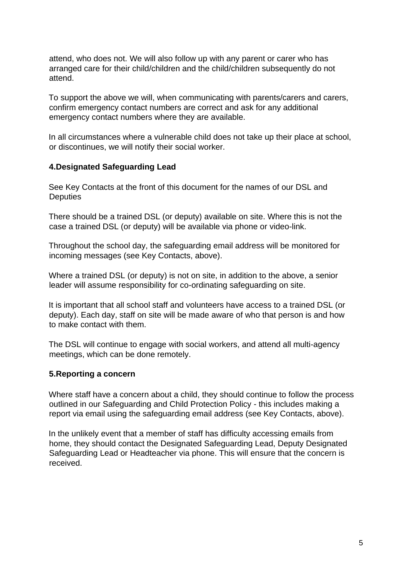attend, who does not. We will also follow up with any parent or carer who has arranged care for their child/children and the child/children subsequently do not attend.

To support the above we will, when communicating with parents/carers and carers, confirm emergency contact numbers are correct and ask for any additional emergency contact numbers where they are available.

In all circumstances where a vulnerable child does not take up their place at school, or discontinues, we will notify their social worker.

#### <span id="page-4-0"></span>**4.Designated Safeguarding Lead**

See Key Contacts at the front of this document for the names of our DSL and **Deputies** 

There should be a trained DSL (or deputy) available on site. Where this is not the case a trained DSL (or deputy) will be available via phone or video-link.

Throughout the school day, the safeguarding email address will be monitored for incoming messages (see Key Contacts, above).

Where a trained DSL (or deputy) is not on site, in addition to the above, a senior leader will assume responsibility for co-ordinating safeguarding on site.

It is important that all school staff and volunteers have access to a trained DSL (or deputy). Each day, staff on site will be made aware of who that person is and how to make contact with them.

The DSL will continue to engage with social workers, and attend all multi-agency meetings, which can be done remotely.

#### <span id="page-4-1"></span>**5.Reporting a concern**

Where staff have a concern about a child, they should continue to follow the process outlined in our Safeguarding and Child Protection Policy - this includes making a report via email using the safeguarding email address (see Key Contacts, above).

In the unlikely event that a member of staff has difficulty accessing emails from home, they should contact the Designated Safeguarding Lead, Deputy Designated Safeguarding Lead or Headteacher via phone. This will ensure that the concern is received.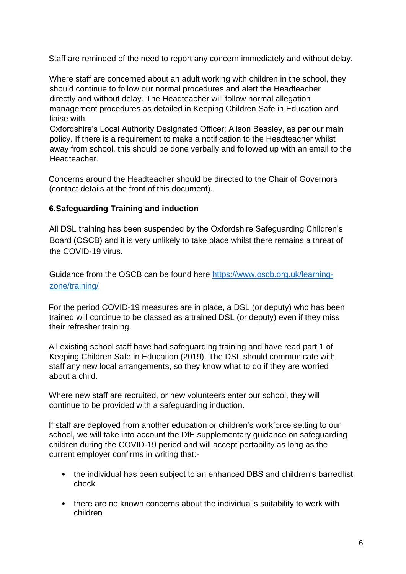Staff are reminded of the need to report any concern immediately and without delay.

Where staff are concerned about an adult working with children in the school, they should continue to follow our normal procedures and alert the Headteacher directly and without delay. The Headteacher will follow normal allegation management procedures as detailed in Keeping Children Safe in Education and liaise with

Oxfordshire's Local Authority Designated Officer; Alison Beasley, as per our main policy. If there is a requirement to make a notification to the Headteacher whilst away from school, this should be done verbally and followed up with an email to the Headteacher.

Concerns around the Headteacher should be directed to the Chair of Governors (contact details at the front of this document).

#### <span id="page-5-0"></span>**6.Safeguarding Training and induction**

All DSL training has been suspended by the Oxfordshire Safeguarding Children's Board (OSCB) and it is very unlikely to take place whilst there remains a threat of the COVID-19 virus.

Guidance from the OSCB can be found here [https://www.oscb.org.uk/learning](about:blank)[zone/training/](about:blank)

For the period COVID-19 measures are in place, a DSL (or deputy) who has been trained will continue to be classed as a trained DSL (or deputy) even if they miss their refresher training.

All existing school staff have had safeguarding training and have read part 1 of Keeping Children Safe in Education (2019). The DSL should communicate with staff any new local arrangements, so they know what to do if they are worried about a child.

Where new staff are recruited, or new volunteers enter our school, they will continue to be provided with a safeguarding induction.

If staff are deployed from another education or children's workforce setting to our school, we will take into account the DfE supplementary guidance on safeguarding children during the COVID-19 period and will accept portability as long as the current employer confirms in writing that:-

- the individual has been subject to an enhanced DBS and children's barred list check
- there are no known concerns about the individual's suitability to work with children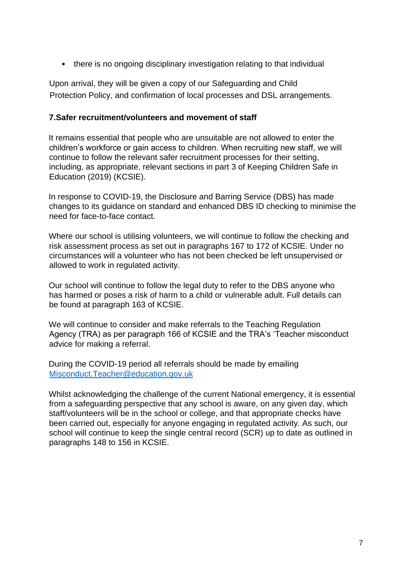• there is no ongoing disciplinary investigation relating to that individual

Upon arrival, they will be given a copy of our Safeguarding and Child Protection Policy, and confirmation of local processes and DSL arrangements.

## <span id="page-6-0"></span>**7.Safer recruitment/volunteers and movement of staff**

It remains essential that people who are unsuitable are not allowed to enter the children's workforce or gain access to children. When recruiting new staff, we will continue to follow the relevant safer recruitment processes for their setting, including, as appropriate, relevant sections in part 3 of Keeping Children Safe in Education (2019) (KCSIE).

In response to COVID-19, the Disclosure and Barring Service (DBS) has made changes to its guidance on standard and enhanced DBS ID checking to minimise the need for face-to-face contact.

Where our school is utilising volunteers, we will continue to follow the checking and risk assessment process as set out in paragraphs 167 to 172 of KCSIE. Under no circumstances will a volunteer who has not been checked be left unsupervised or allowed to work in regulated activity.

Our school will continue to follow the legal duty to refer to the DBS anyone who has harmed or poses a risk of harm to a child or vulnerable adult. Full details can be found at paragraph 163 of KCSIE.

We will continue to consider and make referrals to the Teaching Regulation Agency (TRA) as per paragraph 166 of KCSIE and the TRA's 'Teacher misconduct advice for making a referral.

During the COVID-19 period all referrals should be made by emailing [Misconduct.Teacher@education.gov.uk](about:blank)

Whilst acknowledging the challenge of the current National emergency, it is essential from a safeguarding perspective that any school is aware, on any given day, which staff/volunteers will be in the school or college, and that appropriate checks have been carried out, especially for anyone engaging in regulated activity. As such, our school will continue to keep the single central record (SCR) up to date as outlined in paragraphs 148 to 156 in KCSIE.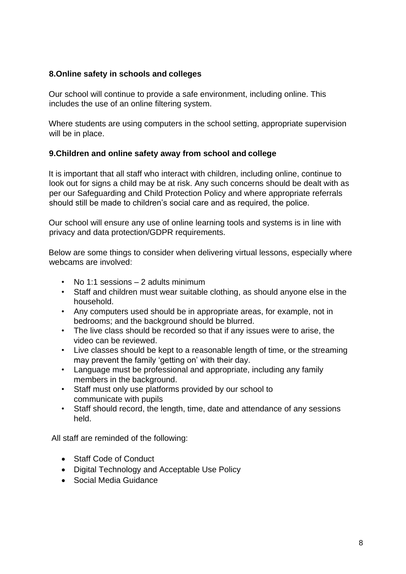## <span id="page-7-0"></span>**8.Online safety in schools and colleges**

Our school will continue to provide a safe environment, including online. This includes the use of an online filtering system.

Where students are using computers in the school setting, appropriate supervision will be in place.

## <span id="page-7-1"></span>**9.Children and online safety away from school and college**

It is important that all staff who interact with children, including online, continue to look out for signs a child may be at risk. Any such concerns should be dealt with as per our Safeguarding and Child Protection Policy and where appropriate referrals should still be made to children's social care and as required, the police.

Our school will ensure any use of online learning tools and systems is in line with privacy and data protection/GDPR requirements.

Below are some things to consider when delivering virtual lessons, especially where webcams are involved:

- No 1:1 sessions 2 adults minimum
- Staff and children must wear suitable clothing, as should anyone else in the household.
- Any computers used should be in appropriate areas, for example, not in bedrooms; and the background should be blurred.
- The live class should be recorded so that if any issues were to arise, the video can be reviewed.
- Live classes should be kept to a reasonable length of time, or the streaming may prevent the family 'getting on' with their day.
- Language must be professional and appropriate, including any family members in the background.
- Staff must only use platforms provided by our school to communicate with pupils
- Staff should record, the length, time, date and attendance of any sessions held.

All staff are reminded of the following:

- Staff Code of Conduct
- Digital Technology and Acceptable Use Policy
- Social Media Guidance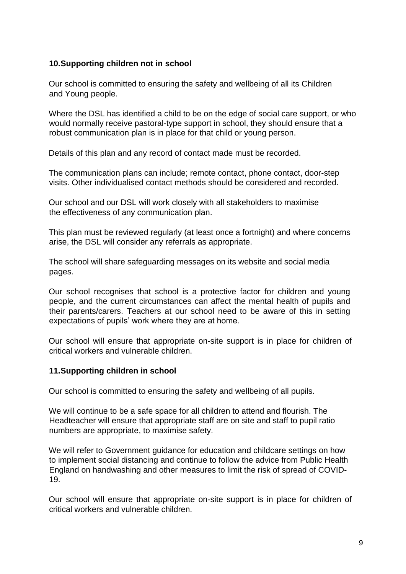#### <span id="page-8-0"></span>**10.Supporting children not in school**

Our school is committed to ensuring the safety and wellbeing of all its Children and Young people.

Where the DSL has identified a child to be on the edge of social care support, or who would normally receive pastoral-type support in school, they should ensure that a robust communication plan is in place for that child or young person.

Details of this plan and any record of contact made must be recorded.

The communication plans can include; remote contact, phone contact, door-step visits. Other individualised contact methods should be considered and recorded.

Our school and our DSL will work closely with all stakeholders to maximise the effectiveness of any communication plan.

This plan must be reviewed regularly (at least once a fortnight) and where concerns arise, the DSL will consider any referrals as appropriate.

The school will share safeguarding messages on its website and social media pages.

Our school recognises that school is a protective factor for children and young people, and the current circumstances can affect the mental health of pupils and their parents/carers. Teachers at our school need to be aware of this in setting expectations of pupils' work where they are at home.

Our school will ensure that appropriate on-site support is in place for children of critical workers and vulnerable children.

## <span id="page-8-1"></span>**11.Supporting children in school**

Our school is committed to ensuring the safety and wellbeing of all pupils.

We will continue to be a safe space for all children to attend and flourish. The Headteacher will ensure that appropriate staff are on site and staff to pupil ratio numbers are appropriate, to maximise safety.

We will refer to Government guidance for education and childcare settings on how to implement social distancing and continue to follow the advice from Public Health England on handwashing and other measures to limit the risk of spread of COVID-19.

Our school will ensure that appropriate on-site support is in place for children of critical workers and vulnerable children.